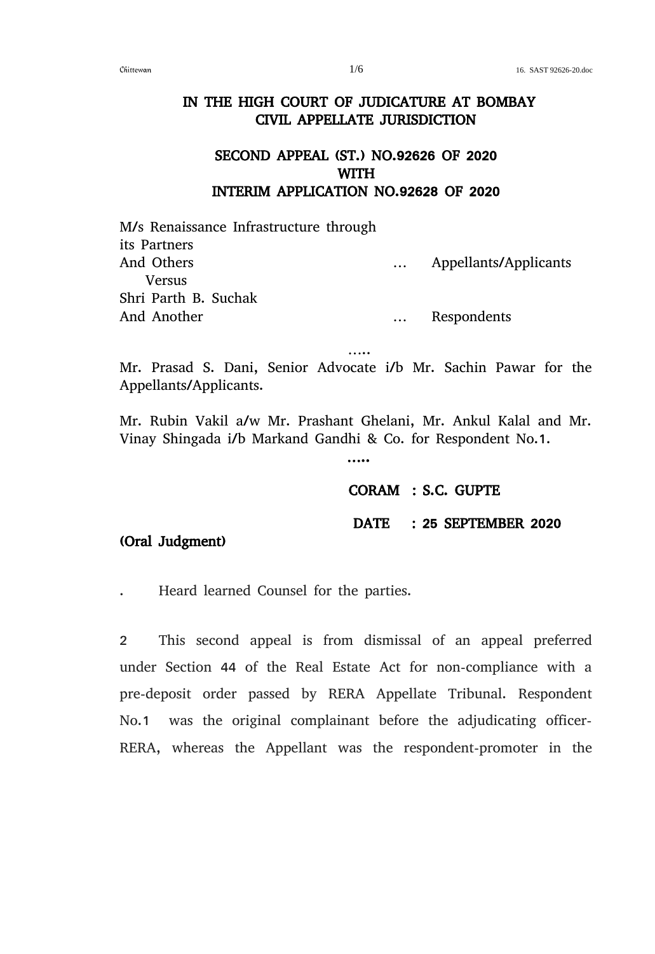## IN THE HIGH COURT OF JUDICATURE AT BOMBAY CIVIL APPELLATE JURISDICTION

## SECOND APPEAL (ST.) NO.92626 OF 2020 WITH INTERIM APPLICATION NO.92628 OF 2020

M/s Renaissance Infrastructure through its Partners And Others … Appellants/Applicants Versus Shri Parth B. Suchak And Another … Respondents

Mr. Prasad S. Dani, Senior Advocate i/b Mr. Sachin Pawar for the Appellants/Applicants.

…..

Mr. Rubin Vakil a/w Mr. Prashant Ghelani, Mr. Ankul Kalal and Mr. Vinay Shingada i/b Markand Gandhi & Co. for Respondent No.1.

CORAM : S.C. GUPTE

DATE : 25 SEPTEMBER 2020

## (Oral Judgment)

. Heard learned Counsel for the parties.

…..

2 This second appeal is from dismissal of an appeal preferred under Section 44 of the Real Estate Act for non-compliance with a pre-deposit order passed by RERA Appellate Tribunal. Respondent No.1 was the original complainant before the adjudicating officer-RERA, whereas the Appellant was the respondent-promoter in the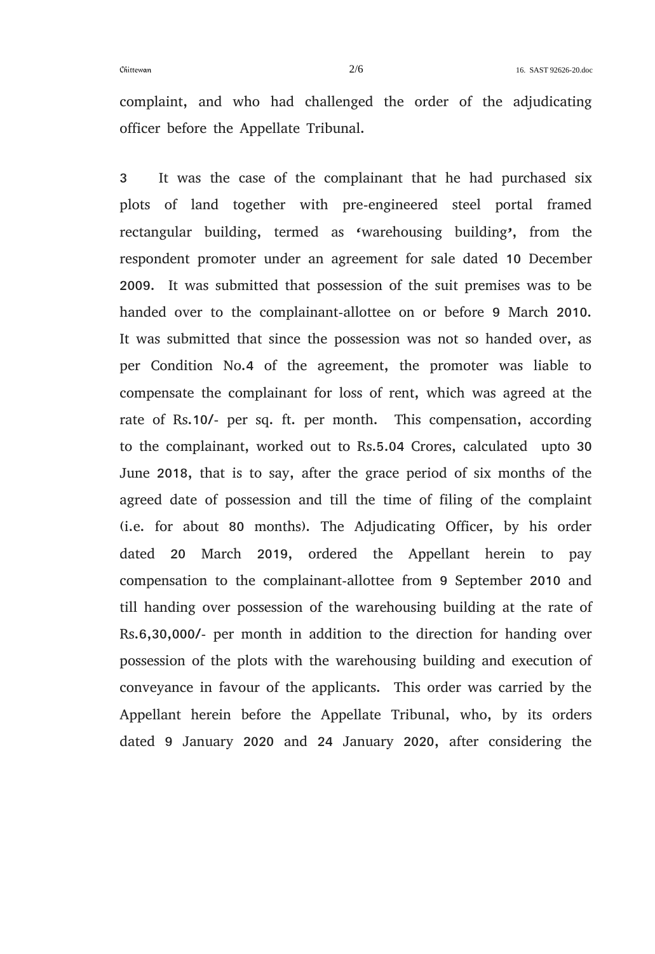complaint, and who had challenged the order of the adjudicating officer before the Appellate Tribunal.

3 It was the case of the complainant that he had purchased six plots of land together with pre-engineered steel portal framed rectangular building, termed as 'warehousing building', from the respondent promoter under an agreement for sale dated 10 December 2009. It was submitted that possession of the suit premises was to be handed over to the complainant-allottee on or before 9 March 2010. It was submitted that since the possession was not so handed over, as per Condition No.4 of the agreement, the promoter was liable to compensate the complainant for loss of rent, which was agreed at the rate of Rs.10/- per sq. ft. per month. This compensation, according to the complainant, worked out to Rs.5.04 Crores, calculated upto 30 June 2018, that is to say, after the grace period of six months of the agreed date of possession and till the time of filing of the complaint (i.e. for about 80 months). The Adjudicating Officer, by his order dated 20 March 2019, ordered the Appellant herein to pay compensation to the complainant-allottee from 9 September 2010 and till handing over possession of the warehousing building at the rate of Rs.6,30,000/- per month in addition to the direction for handing over possession of the plots with the warehousing building and execution of conveyance in favour of the applicants. This order was carried by the Appellant herein before the Appellate Tribunal, who, by its orders dated 9 January 2020 and 24 January 2020, after considering the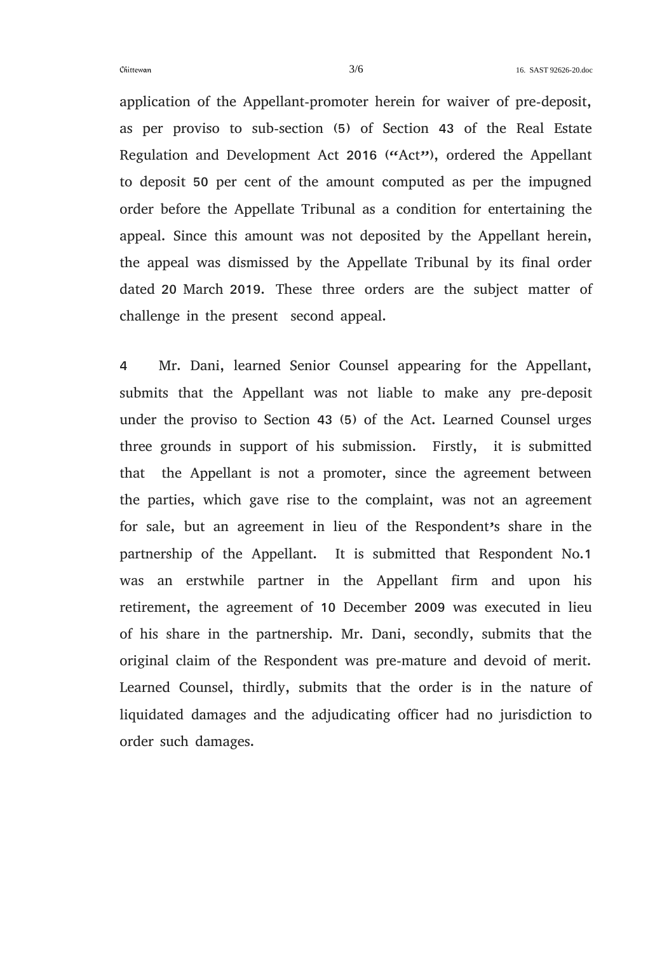application of the Appellant-promoter herein for waiver of pre-deposit, as per proviso to sub-section (5) of Section 43 of the Real Estate Regulation and Development Act 2016 ("Act"), ordered the Appellant to deposit 50 per cent of the amount computed as per the impugned order before the Appellate Tribunal as a condition for entertaining the appeal. Since this amount was not deposited by the Appellant herein, the appeal was dismissed by the Appellate Tribunal by its final order dated 20 March 2019. These three orders are the subject matter of challenge in the present second appeal.

4 Mr. Dani, learned Senior Counsel appearing for the Appellant, submits that the Appellant was not liable to make any pre-deposit under the proviso to Section 43 (5) of the Act. Learned Counsel urges three grounds in support of his submission. Firstly, it is submitted that the Appellant is not a promoter, since the agreement between the parties, which gave rise to the complaint, was not an agreement for sale, but an agreement in lieu of the Respondent's share in the partnership of the Appellant. It is submitted that Respondent No.1 was an erstwhile partner in the Appellant firm and upon his retirement, the agreement of 10 December 2009 was executed in lieu of his share in the partnership. Mr. Dani, secondly, submits that the original claim of the Respondent was pre-mature and devoid of merit. Learned Counsel, thirdly, submits that the order is in the nature of liquidated damages and the adjudicating officer had no jurisdiction to order such damages.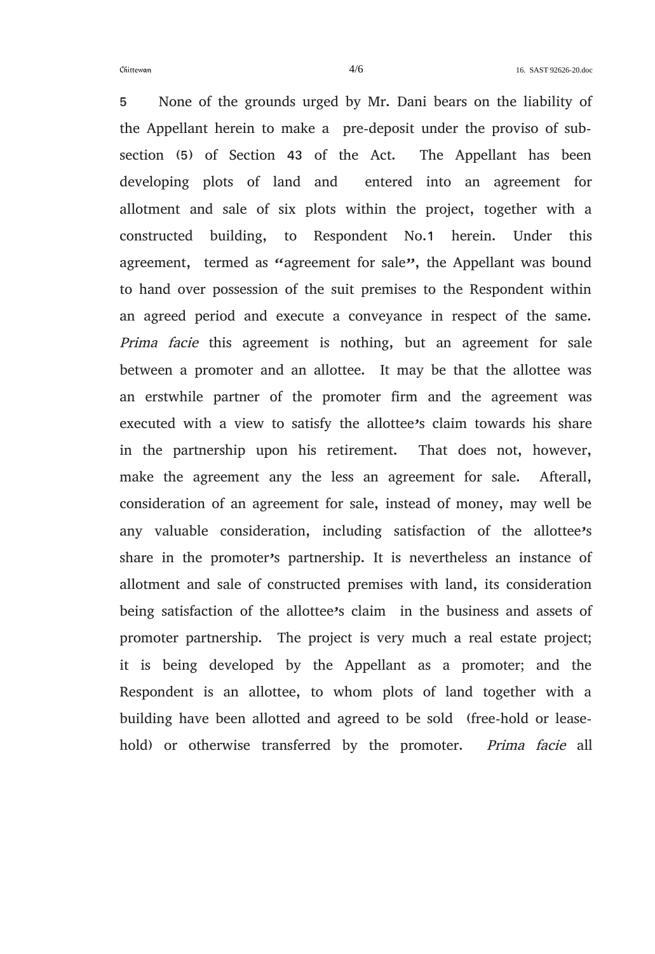5 None of the grounds urged by Mr. Dani bears on the liability of the Appellant herein to make a pre-deposit under the proviso of subsection (5) of Section 43 of the Act. The Appellant has been developing plots of land and entered into an agreement for allotment and sale of six plots within the project, together with a constructed building, to Respondent No.1 herein. Under this agreement, termed as "agreement for sale", the Appellant was bound to hand over possession of the suit premises to the Respondent within an agreed period and execute a conveyance in respect of the same. Prima facie this agreement is nothing, but an agreement for sale between a promoter and an allottee. It may be that the allottee was an erstwhile partner of the promoter firm and the agreement was executed with a view to satisfy the allottee's claim towards his share in the partnership upon his retirement. That does not, however, make the agreement any the less an agreement for sale. Afterall, consideration of an agreement for sale, instead of money, may well be any valuable consideration, including satisfaction of the allottee's share in the promoter's partnership. It is nevertheless an instance of allotment and sale of constructed premises with land, its consideration being satisfaction of the allottee's claim in the business and assets of promoter partnership. The project is very much a real estate project; it is being developed by the Appellant as a promoter; and the Respondent is an allottee, to whom plots of land together with a building have been allotted and agreed to be sold (free-hold or leasehold) or otherwise transferred by the promoter. Prima facie all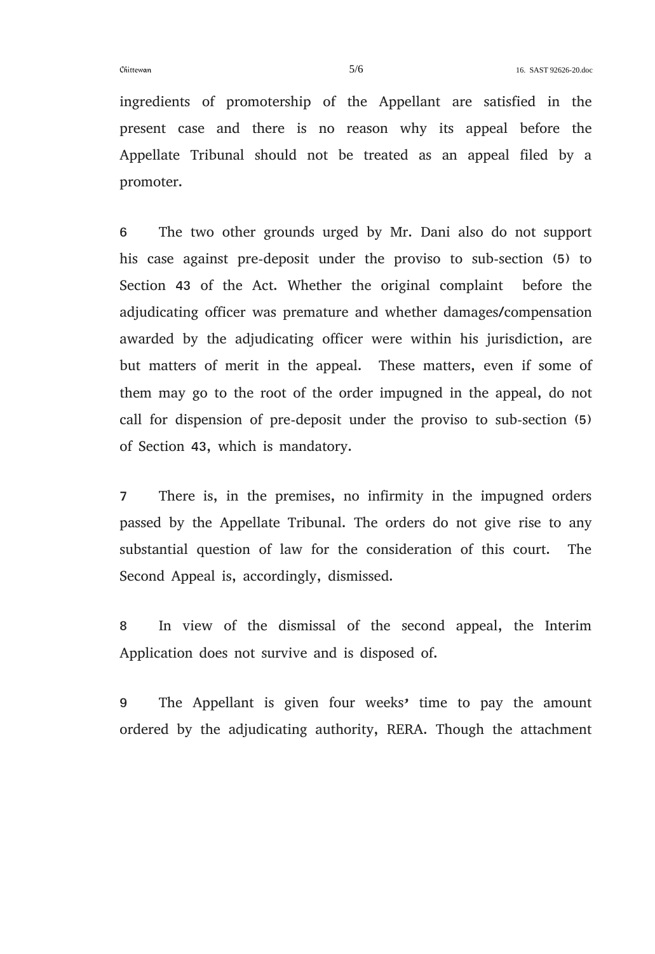ingredients of promotership of the Appellant are satisfied in the present case and there is no reason why its appeal before the Appellate Tribunal should not be treated as an appeal filed by a promoter.

6 The two other grounds urged by Mr. Dani also do not support his case against pre-deposit under the proviso to sub-section (5) to Section 43 of the Act. Whether the original complaint before the adjudicating officer was premature and whether damages/compensation awarded by the adjudicating officer were within his jurisdiction, are but matters of merit in the appeal. These matters, even if some of them may go to the root of the order impugned in the appeal, do not call for dispension of pre-deposit under the proviso to sub-section (5) of Section 43, which is mandatory.

7 There is, in the premises, no infirmity in the impugned orders passed by the Appellate Tribunal. The orders do not give rise to any substantial question of law for the consideration of this court. The Second Appeal is, accordingly, dismissed.

8 In view of the dismissal of the second appeal, the Interim Application does not survive and is disposed of.

9 The Appellant is given four weeks' time to pay the amount ordered by the adjudicating authority, RERA. Though the attachment